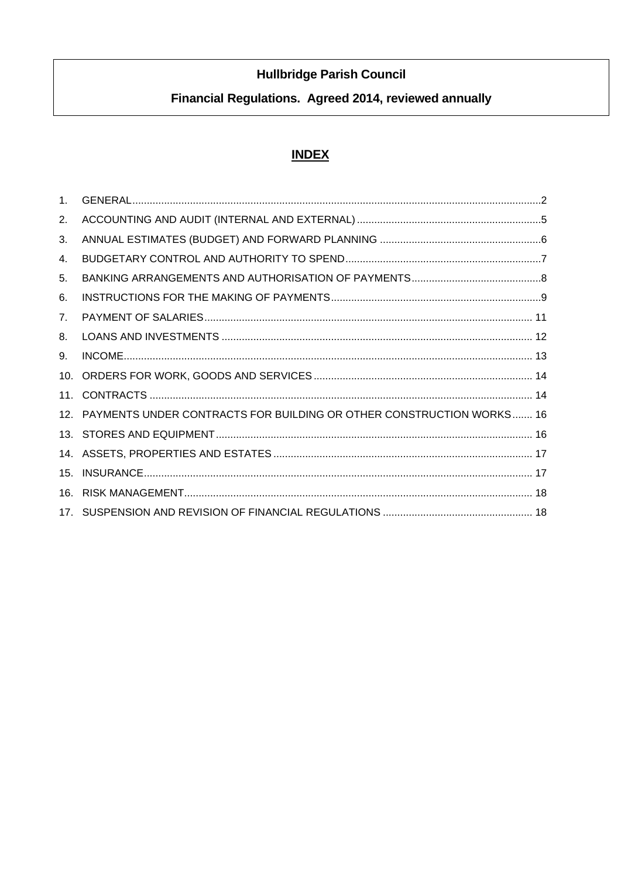# **Hullbridge Parish Council**

# Financial Regulations. Agreed 2014, reviewed annually

## **INDEX**

| 1 <sub>1</sub> |                                                                          |
|----------------|--------------------------------------------------------------------------|
| 2.             |                                                                          |
| 3.             |                                                                          |
| 4.             |                                                                          |
| 5.             |                                                                          |
| 6.             |                                                                          |
| 7 <sub>1</sub> |                                                                          |
| 8.             |                                                                          |
| 9.             |                                                                          |
| 10.            |                                                                          |
| 11.            |                                                                          |
|                | 12. PAYMENTS UNDER CONTRACTS FOR BUILDING OR OTHER CONSTRUCTION WORKS 16 |
|                |                                                                          |
|                |                                                                          |
| 15.            |                                                                          |
| 16.            |                                                                          |
|                |                                                                          |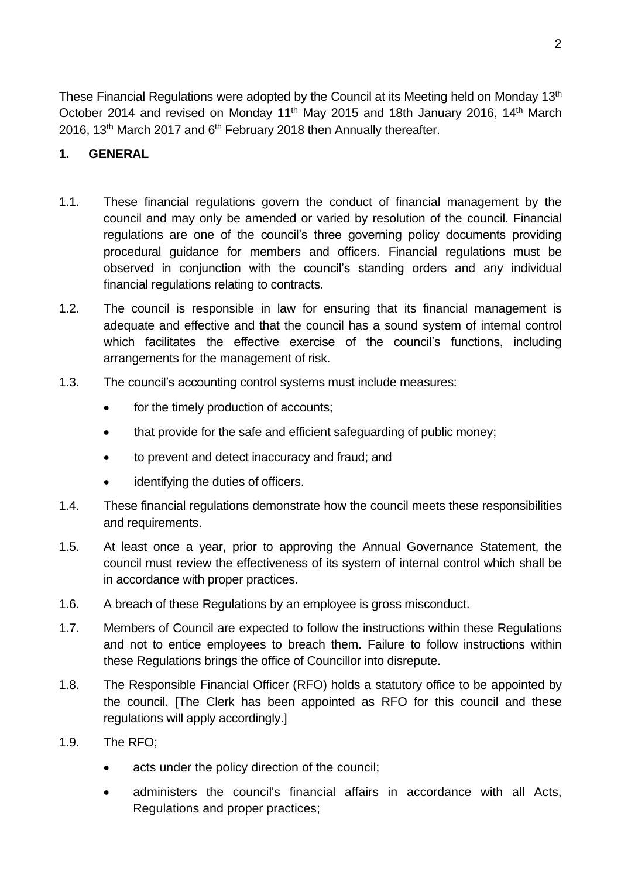These Financial Regulations were adopted by the Council at its Meeting held on Monday 13<sup>th</sup> October 2014 and revised on Monday 11<sup>th</sup> May 2015 and 18th January 2016, 14<sup>th</sup> March 2016, 13<sup>th</sup> March 2017 and  $6<sup>th</sup>$  February 2018 then Annually thereafter.

#### <span id="page-1-0"></span>**1. GENERAL**

- 1.1. These financial regulations govern the conduct of financial management by the council and may only be amended or varied by resolution of the council. Financial regulations are one of the council's three governing policy documents providing procedural guidance for members and officers. Financial regulations must be observed in conjunction with the council's standing orders and any individual financial regulations relating to contracts.
- 1.2. The council is responsible in law for ensuring that its financial management is adequate and effective and that the council has a sound system of internal control which facilitates the effective exercise of the council's functions, including arrangements for the management of risk.
- 1.3. The council's accounting control systems must include measures:
	- for the timely production of accounts;
	- that provide for the safe and efficient safeguarding of public money:
	- to prevent and detect inaccuracy and fraud; and
	- identifying the duties of officers.
- 1.4. These financial regulations demonstrate how the council meets these responsibilities and requirements.
- 1.5. At least once a year, prior to approving the Annual Governance Statement, the council must review the effectiveness of its system of internal control which shall be in accordance with proper practices.
- 1.6. A breach of these Regulations by an employee is gross misconduct.
- 1.7. Members of Council are expected to follow the instructions within these Regulations and not to entice employees to breach them. Failure to follow instructions within these Regulations brings the office of Councillor into disrepute.
- 1.8. The Responsible Financial Officer (RFO) holds a statutory office to be appointed by the council. [The Clerk has been appointed as RFO for this council and these regulations will apply accordingly.]
- 1.9. The RFO;
	- acts under the policy direction of the council;
	- administers the council's financial affairs in accordance with all Acts, Regulations and proper practices;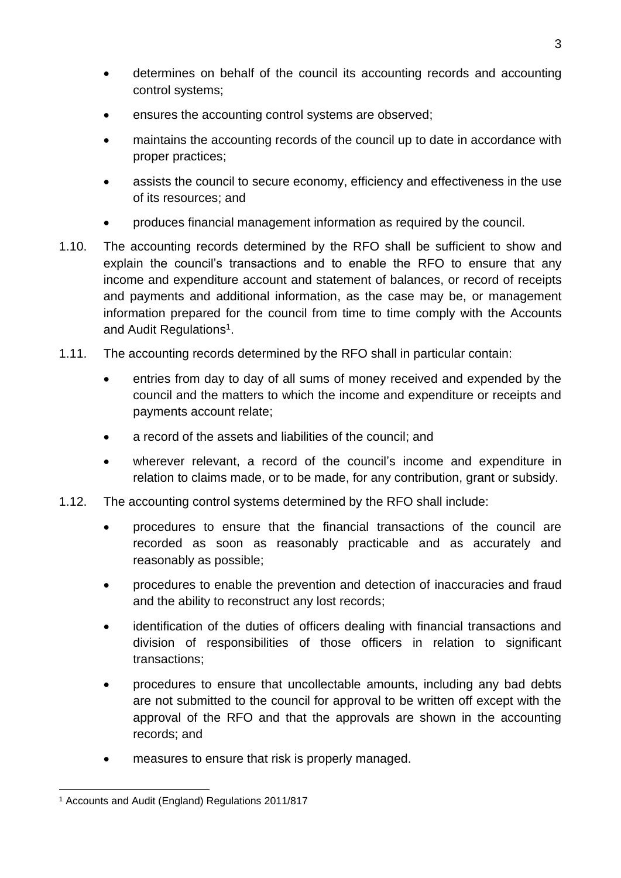- determines on behalf of the council its accounting records and accounting control systems;
- ensures the accounting control systems are observed;
- maintains the accounting records of the council up to date in accordance with proper practices;
- assists the council to secure economy, efficiency and effectiveness in the use of its resources; and
- produces financial management information as required by the council.
- 1.10. The accounting records determined by the RFO shall be sufficient to show and explain the council's transactions and to enable the RFO to ensure that any income and expenditure account and statement of balances, or record of receipts and payments and additional information, as the case may be, or management information prepared for the council from time to time comply with the Accounts and Audit Regulations<sup>1</sup>.
- 1.11. The accounting records determined by the RFO shall in particular contain:
	- entries from day to day of all sums of money received and expended by the council and the matters to which the income and expenditure or receipts and payments account relate;
	- a record of the assets and liabilities of the council; and
	- wherever relevant, a record of the council's income and expenditure in relation to claims made, or to be made, for any contribution, grant or subsidy.
- 1.12. The accounting control systems determined by the RFO shall include:
	- procedures to ensure that the financial transactions of the council are recorded as soon as reasonably practicable and as accurately and reasonably as possible;
	- procedures to enable the prevention and detection of inaccuracies and fraud and the ability to reconstruct any lost records;
	- identification of the duties of officers dealing with financial transactions and division of responsibilities of those officers in relation to significant transactions;
	- procedures to ensure that uncollectable amounts, including any bad debts are not submitted to the council for approval to be written off except with the approval of the RFO and that the approvals are shown in the accounting records; and
	- measures to ensure that risk is properly managed.

<sup>1</sup> Accounts and Audit (England) Regulations 2011/817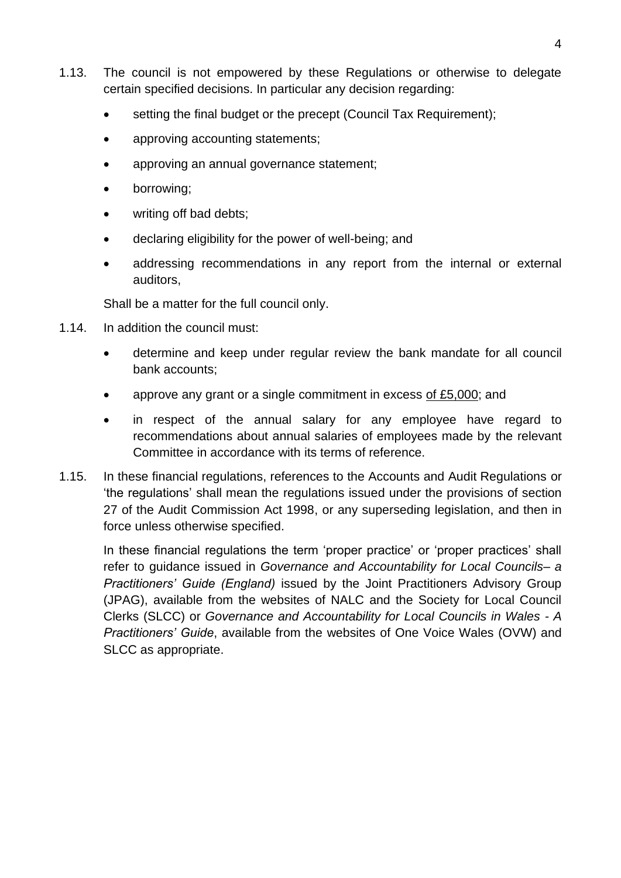- 1.13. The council is not empowered by these Regulations or otherwise to delegate certain specified decisions. In particular any decision regarding:
	- setting the final budget or the precept (Council Tax Requirement):
	- approving accounting statements;
	- approving an annual governance statement;
	- borrowing;
	- writing off bad debts;
	- declaring eligibility for the power of well-being; and
	- addressing recommendations in any report from the internal or external auditors,

Shall be a matter for the full council only.

- 1.14. In addition the council must:
	- determine and keep under regular review the bank mandate for all council bank accounts;
	- approve any grant or a single commitment in excess of £5,000; and
	- in respect of the annual salary for any employee have regard to recommendations about annual salaries of employees made by the relevant Committee in accordance with its terms of reference.
- 1.15. In these financial regulations, references to the Accounts and Audit Regulations or 'the regulations' shall mean the regulations issued under the provisions of section 27 of the Audit Commission Act 1998, or any superseding legislation, and then in force unless otherwise specified.

In these financial regulations the term 'proper practice' or 'proper practices' shall refer to guidance issued in *Governance and Accountability for Local Councils– a Practitioners' Guide (England)* issued by the Joint Practitioners Advisory Group (JPAG), available from the websites of NALC and the Society for Local Council Clerks (SLCC) or *Governance and Accountability for Local Councils in Wales - A Practitioners' Guide*, available from the websites of One Voice Wales (OVW) and SLCC as appropriate.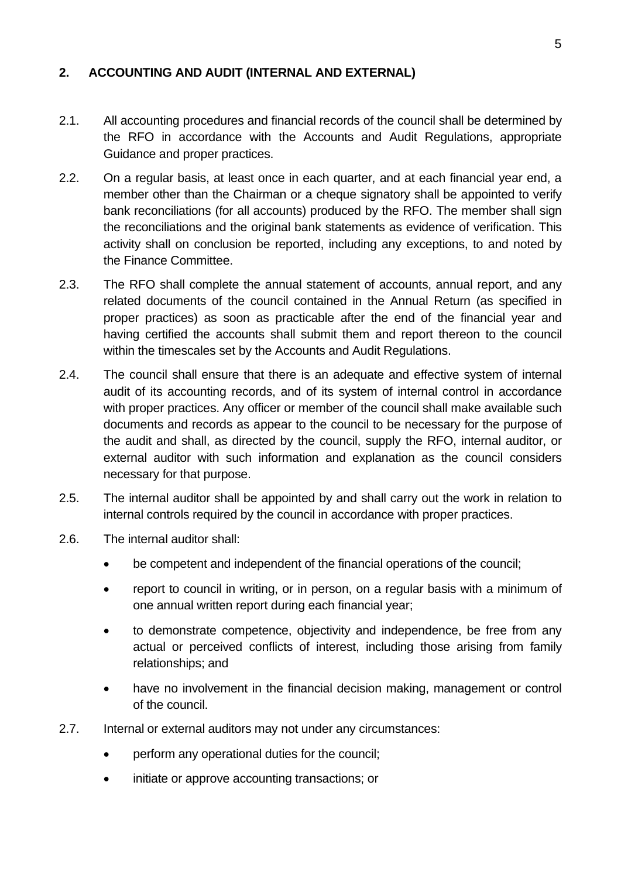#### <span id="page-4-0"></span>**2. ACCOUNTING AND AUDIT (INTERNAL AND EXTERNAL)**

- 2.1. All accounting procedures and financial records of the council shall be determined by the RFO in accordance with the Accounts and Audit Regulations, appropriate Guidance and proper practices.
- 2.2. On a regular basis, at least once in each quarter, and at each financial year end, a member other than the Chairman or a cheque signatory shall be appointed to verify bank reconciliations (for all accounts) produced by the RFO. The member shall sign the reconciliations and the original bank statements as evidence of verification. This activity shall on conclusion be reported, including any exceptions, to and noted by the Finance Committee.
- 2.3. The RFO shall complete the annual statement of accounts, annual report, and any related documents of the council contained in the Annual Return (as specified in proper practices) as soon as practicable after the end of the financial year and having certified the accounts shall submit them and report thereon to the council within the timescales set by the Accounts and Audit Regulations.
- 2.4. The council shall ensure that there is an adequate and effective system of internal audit of its accounting records, and of its system of internal control in accordance with proper practices. Any officer or member of the council shall make available such documents and records as appear to the council to be necessary for the purpose of the audit and shall, as directed by the council, supply the RFO, internal auditor, or external auditor with such information and explanation as the council considers necessary for that purpose.
- 2.5. The internal auditor shall be appointed by and shall carry out the work in relation to internal controls required by the council in accordance with proper practices.
- 2.6. The internal auditor shall:
	- be competent and independent of the financial operations of the council;
	- report to council in writing, or in person, on a regular basis with a minimum of one annual written report during each financial year;
	- to demonstrate competence, objectivity and independence, be free from any actual or perceived conflicts of interest, including those arising from family relationships; and
	- have no involvement in the financial decision making, management or control of the council.
- 2.7. Internal or external auditors may not under any circumstances:
	- perform any operational duties for the council;
	- initiate or approve accounting transactions; or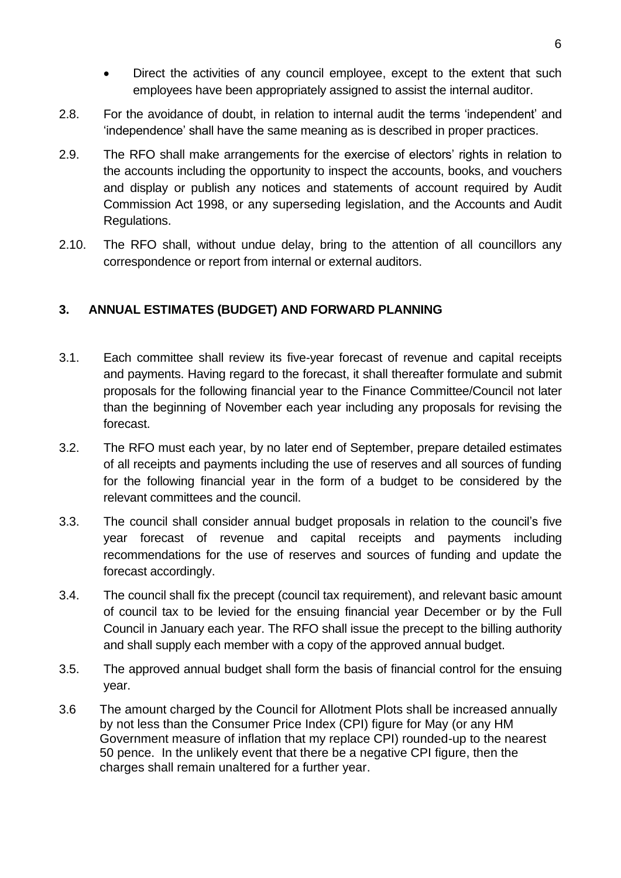- Direct the activities of any council employee, except to the extent that such employees have been appropriately assigned to assist the internal auditor.
- 2.8. For the avoidance of doubt, in relation to internal audit the terms 'independent' and 'independence' shall have the same meaning as is described in proper practices.
- 2.9. The RFO shall make arrangements for the exercise of electors' rights in relation to the accounts including the opportunity to inspect the accounts, books, and vouchers and display or publish any notices and statements of account required by Audit Commission Act 1998, or any superseding legislation, and the Accounts and Audit Regulations.
- 2.10. The RFO shall, without undue delay, bring to the attention of all councillors any correspondence or report from internal or external auditors.

### <span id="page-5-0"></span>**3. ANNUAL ESTIMATES (BUDGET) AND FORWARD PLANNING**

- 3.1. Each committee shall review its five-year forecast of revenue and capital receipts and payments. Having regard to the forecast, it shall thereafter formulate and submit proposals for the following financial year to the Finance Committee/Council not later than the beginning of November each year including any proposals for revising the forecast.
- 3.2. The RFO must each year, by no later end of September, prepare detailed estimates of all receipts and payments including the use of reserves and all sources of funding for the following financial year in the form of a budget to be considered by the relevant committees and the council.
- 3.3. The council shall consider annual budget proposals in relation to the council's five year forecast of revenue and capital receipts and payments including recommendations for the use of reserves and sources of funding and update the forecast accordingly.
- 3.4. The council shall fix the precept (council tax requirement), and relevant basic amount of council tax to be levied for the ensuing financial year December or by the Full Council in January each year. The RFO shall issue the precept to the billing authority and shall supply each member with a copy of the approved annual budget.
- 3.5. The approved annual budget shall form the basis of financial control for the ensuing year.
- 3.6 The amount charged by the Council for Allotment Plots shall be increased annually by not less than the Consumer Price Index (CPI) figure for May (or any HM Government measure of inflation that my replace CPI) rounded-up to the nearest 50 pence. In the unlikely event that there be a negative CPI figure, then the charges shall remain unaltered for a further year.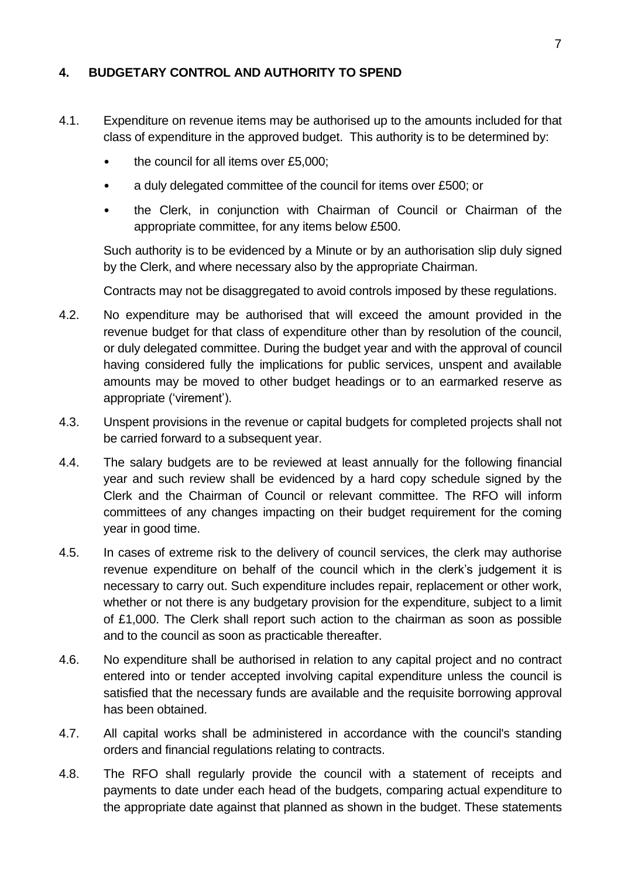#### <span id="page-6-0"></span>**4. BUDGETARY CONTROL AND AUTHORITY TO SPEND**

- 4.1. Expenditure on revenue items may be authorised up to the amounts included for that class of expenditure in the approved budget. This authority is to be determined by:
	- the council for all items over £5,000;
	- a duly delegated committee of the council for items over £500; or
	- the Clerk, in conjunction with Chairman of Council or Chairman of the appropriate committee, for any items below £500.

Such authority is to be evidenced by a Minute or by an authorisation slip duly signed by the Clerk, and where necessary also by the appropriate Chairman.

Contracts may not be disaggregated to avoid controls imposed by these regulations.

- 4.2. No expenditure may be authorised that will exceed the amount provided in the revenue budget for that class of expenditure other than by resolution of the council, or duly delegated committee. During the budget year and with the approval of council having considered fully the implications for public services, unspent and available amounts may be moved to other budget headings or to an earmarked reserve as appropriate ('virement').
- 4.3. Unspent provisions in the revenue or capital budgets for completed projects shall not be carried forward to a subsequent year.
- 4.4. The salary budgets are to be reviewed at least annually for the following financial year and such review shall be evidenced by a hard copy schedule signed by the Clerk and the Chairman of Council or relevant committee. The RFO will inform committees of any changes impacting on their budget requirement for the coming year in good time.
- 4.5. In cases of extreme risk to the delivery of council services, the clerk may authorise revenue expenditure on behalf of the council which in the clerk's judgement it is necessary to carry out. Such expenditure includes repair, replacement or other work, whether or not there is any budgetary provision for the expenditure, subject to a limit of £1,000. The Clerk shall report such action to the chairman as soon as possible and to the council as soon as practicable thereafter.
- 4.6. No expenditure shall be authorised in relation to any capital project and no contract entered into or tender accepted involving capital expenditure unless the council is satisfied that the necessary funds are available and the requisite borrowing approval has been obtained.
- 4.7. All capital works shall be administered in accordance with the council's standing orders and financial regulations relating to contracts.
- 4.8. The RFO shall regularly provide the council with a statement of receipts and payments to date under each head of the budgets, comparing actual expenditure to the appropriate date against that planned as shown in the budget. These statements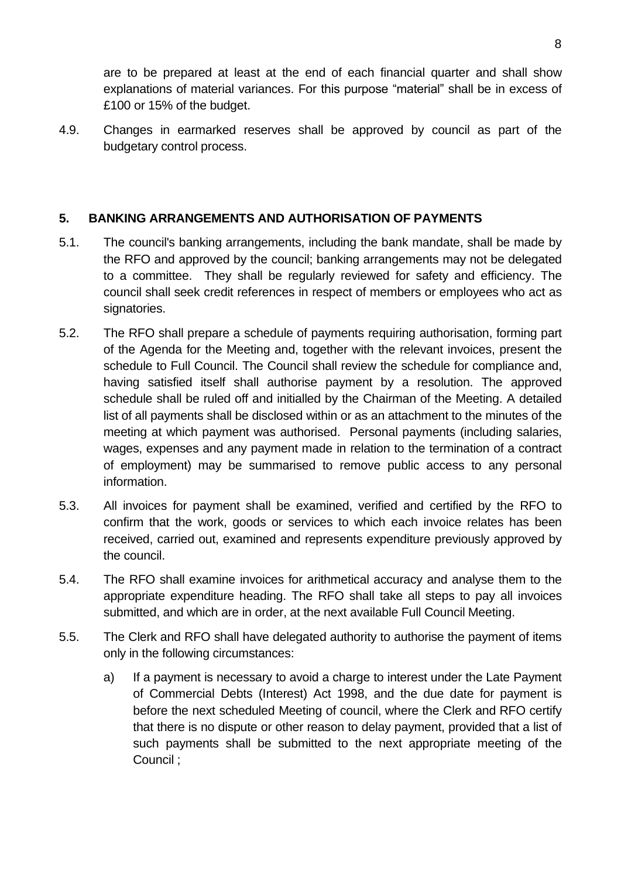are to be prepared at least at the end of each financial quarter and shall show explanations of material variances. For this purpose "material" shall be in excess of £100 or 15% of the budget.

4.9. Changes in earmarked reserves shall be approved by council as part of the budgetary control process.

## <span id="page-7-0"></span>**5. BANKING ARRANGEMENTS AND AUTHORISATION OF PAYMENTS**

- 5.1. The council's banking arrangements, including the bank mandate, shall be made by the RFO and approved by the council; banking arrangements may not be delegated to a committee. They shall be regularly reviewed for safety and efficiency. The council shall seek credit references in respect of members or employees who act as signatories.
- 5.2. The RFO shall prepare a schedule of payments requiring authorisation, forming part of the Agenda for the Meeting and, together with the relevant invoices, present the schedule to Full Council. The Council shall review the schedule for compliance and, having satisfied itself shall authorise payment by a resolution. The approved schedule shall be ruled off and initialled by the Chairman of the Meeting. A detailed list of all payments shall be disclosed within or as an attachment to the minutes of the meeting at which payment was authorised. Personal payments (including salaries, wages, expenses and any payment made in relation to the termination of a contract of employment) may be summarised to remove public access to any personal information.
- 5.3. All invoices for payment shall be examined, verified and certified by the RFO to confirm that the work, goods or services to which each invoice relates has been received, carried out, examined and represents expenditure previously approved by the council.
- 5.4. The RFO shall examine invoices for arithmetical accuracy and analyse them to the appropriate expenditure heading. The RFO shall take all steps to pay all invoices submitted, and which are in order, at the next available Full Council Meeting.
- 5.5. The Clerk and RFO shall have delegated authority to authorise the payment of items only in the following circumstances:
	- a) If a payment is necessary to avoid a charge to interest under the Late Payment of Commercial Debts (Interest) Act 1998, and the due date for payment is before the next scheduled Meeting of council, where the Clerk and RFO certify that there is no dispute or other reason to delay payment, provided that a list of such payments shall be submitted to the next appropriate meeting of the Council ;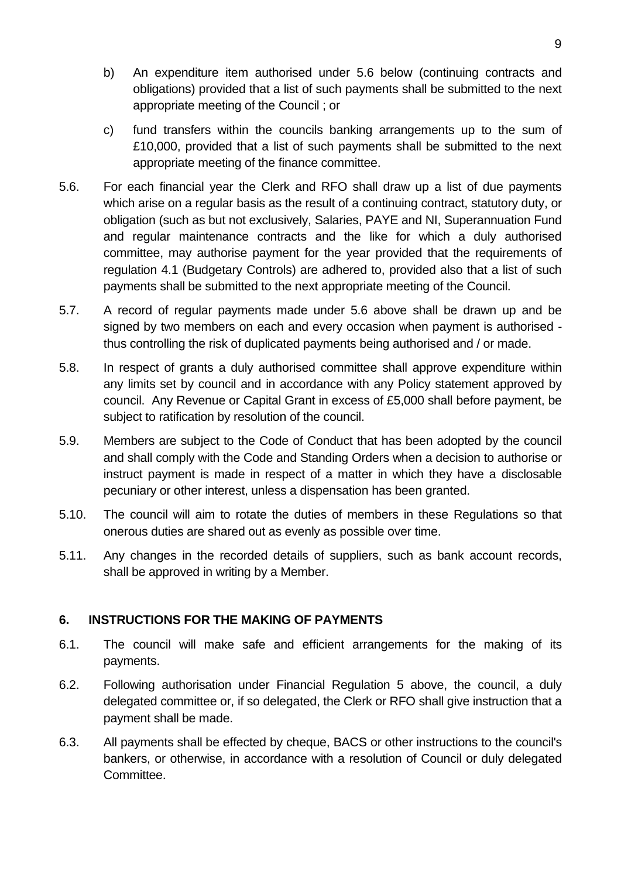- b) An expenditure item authorised under 5.6 below (continuing contracts and obligations) provided that a list of such payments shall be submitted to the next appropriate meeting of the Council ; or
- c) fund transfers within the councils banking arrangements up to the sum of £10,000, provided that a list of such payments shall be submitted to the next appropriate meeting of the finance committee.
- 5.6. For each financial year the Clerk and RFO shall draw up a list of due payments which arise on a regular basis as the result of a continuing contract, statutory duty, or obligation (such as but not exclusively, Salaries, PAYE and NI, Superannuation Fund and regular maintenance contracts and the like for which a duly authorised committee, may authorise payment for the year provided that the requirements of regulation 4.1 (Budgetary Controls) are adhered to, provided also that a list of such payments shall be submitted to the next appropriate meeting of the Council.
- 5.7. A record of regular payments made under 5.6 above shall be drawn up and be signed by two members on each and every occasion when payment is authorised thus controlling the risk of duplicated payments being authorised and / or made.
- 5.8. In respect of grants a duly authorised committee shall approve expenditure within any limits set by council and in accordance with any Policy statement approved by council. Any Revenue or Capital Grant in excess of £5,000 shall before payment, be subject to ratification by resolution of the council.
- 5.9. Members are subject to the Code of Conduct that has been adopted by the council and shall comply with the Code and Standing Orders when a decision to authorise or instruct payment is made in respect of a matter in which they have a disclosable pecuniary or other interest, unless a dispensation has been granted.
- 5.10. The council will aim to rotate the duties of members in these Regulations so that onerous duties are shared out as evenly as possible over time.
- 5.11. Any changes in the recorded details of suppliers, such as bank account records, shall be approved in writing by a Member.

#### <span id="page-8-0"></span>**6. INSTRUCTIONS FOR THE MAKING OF PAYMENTS**

- 6.1. The council will make safe and efficient arrangements for the making of its payments.
- 6.2. Following authorisation under Financial Regulation 5 above, the council, a duly delegated committee or, if so delegated, the Clerk or RFO shall give instruction that a payment shall be made.
- 6.3. All payments shall be effected by cheque, BACS or other instructions to the council's bankers, or otherwise, in accordance with a resolution of Council or duly delegated Committee.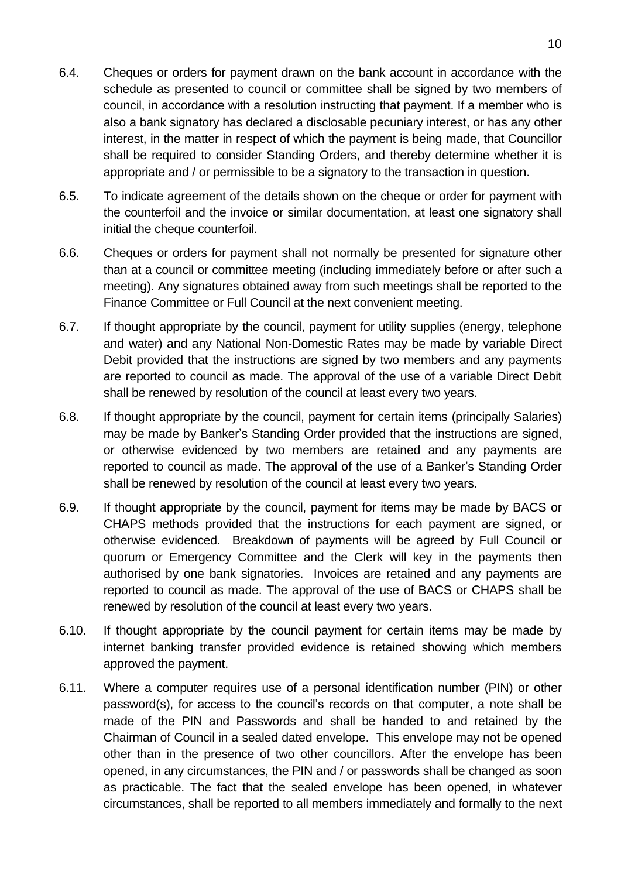- 6.4. Cheques or orders for payment drawn on the bank account in accordance with the schedule as presented to council or committee shall be signed by two members of council, in accordance with a resolution instructing that payment. If a member who is also a bank signatory has declared a disclosable pecuniary interest, or has any other interest, in the matter in respect of which the payment is being made, that Councillor shall be required to consider Standing Orders, and thereby determine whether it is appropriate and / or permissible to be a signatory to the transaction in question.
- 6.5. To indicate agreement of the details shown on the cheque or order for payment with the counterfoil and the invoice or similar documentation, at least one signatory shall initial the cheque counterfoil.
- 6.6. Cheques or orders for payment shall not normally be presented for signature other than at a council or committee meeting (including immediately before or after such a meeting). Any signatures obtained away from such meetings shall be reported to the Finance Committee or Full Council at the next convenient meeting.
- 6.7. If thought appropriate by the council, payment for utility supplies (energy, telephone and water) and any National Non-Domestic Rates may be made by variable Direct Debit provided that the instructions are signed by two members and any payments are reported to council as made. The approval of the use of a variable Direct Debit shall be renewed by resolution of the council at least every two years.
- 6.8. If thought appropriate by the council, payment for certain items (principally Salaries) may be made by Banker's Standing Order provided that the instructions are signed, or otherwise evidenced by two members are retained and any payments are reported to council as made. The approval of the use of a Banker's Standing Order shall be renewed by resolution of the council at least every two years.
- 6.9. If thought appropriate by the council, payment for items may be made by BACS or CHAPS methods provided that the instructions for each payment are signed, or otherwise evidenced. Breakdown of payments will be agreed by Full Council or quorum or Emergency Committee and the Clerk will key in the payments then authorised by one bank signatories. Invoices are retained and any payments are reported to council as made. The approval of the use of BACS or CHAPS shall be renewed by resolution of the council at least every two years.
- 6.10. If thought appropriate by the council payment for certain items may be made by internet banking transfer provided evidence is retained showing which members approved the payment.
- 6.11. Where a computer requires use of a personal identification number (PIN) or other password(s), for access to the council's records on that computer, a note shall be made of the PIN and Passwords and shall be handed to and retained by the Chairman of Council in a sealed dated envelope. This envelope may not be opened other than in the presence of two other councillors. After the envelope has been opened, in any circumstances, the PIN and / or passwords shall be changed as soon as practicable. The fact that the sealed envelope has been opened, in whatever circumstances, shall be reported to all members immediately and formally to the next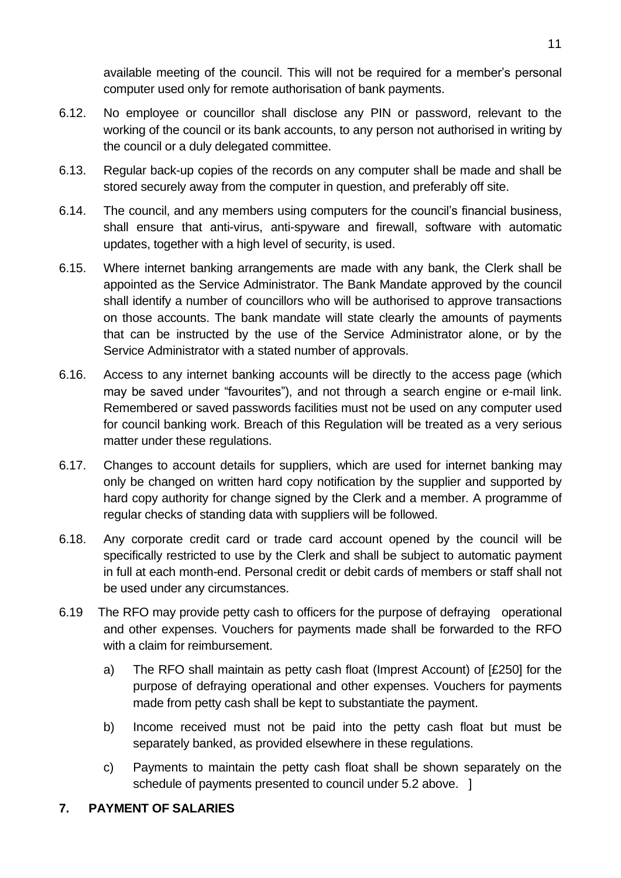available meeting of the council. This will not be required for a member's personal computer used only for remote authorisation of bank payments.

- 6.12. No employee or councillor shall disclose any PIN or password, relevant to the working of the council or its bank accounts, to any person not authorised in writing by the council or a duly delegated committee.
- 6.13. Regular back-up copies of the records on any computer shall be made and shall be stored securely away from the computer in question, and preferably off site.
- 6.14. The council, and any members using computers for the council's financial business, shall ensure that anti-virus, anti-spyware and firewall, software with automatic updates, together with a high level of security, is used.
- 6.15. Where internet banking arrangements are made with any bank, the Clerk shall be appointed as the Service Administrator. The Bank Mandate approved by the council shall identify a number of councillors who will be authorised to approve transactions on those accounts. The bank mandate will state clearly the amounts of payments that can be instructed by the use of the Service Administrator alone, or by the Service Administrator with a stated number of approvals.
- 6.16. Access to any internet banking accounts will be directly to the access page (which may be saved under "favourites"), and not through a search engine or e-mail link. Remembered or saved passwords facilities must not be used on any computer used for council banking work. Breach of this Regulation will be treated as a very serious matter under these regulations.
- 6.17. Changes to account details for suppliers, which are used for internet banking may only be changed on written hard copy notification by the supplier and supported by hard copy authority for change signed by the Clerk and a member. A programme of regular checks of standing data with suppliers will be followed.
- 6.18. Any corporate credit card or trade card account opened by the council will be specifically restricted to use by the Clerk and shall be subject to automatic payment in full at each month-end. Personal credit or debit cards of members or staff shall not be used under any circumstances.
- 6.19 The RFO may provide petty cash to officers for the purpose of defraying operational and other expenses. Vouchers for payments made shall be forwarded to the RFO with a claim for reimbursement.
	- a) The RFO shall maintain as petty cash float (Imprest Account) of [£250] for the purpose of defraying operational and other expenses. Vouchers for payments made from petty cash shall be kept to substantiate the payment.
	- b) Income received must not be paid into the petty cash float but must be separately banked, as provided elsewhere in these regulations.
	- c) Payments to maintain the petty cash float shall be shown separately on the schedule of payments presented to council under 5.2 above. 1

## <span id="page-10-0"></span>**7. PAYMENT OF SALARIES**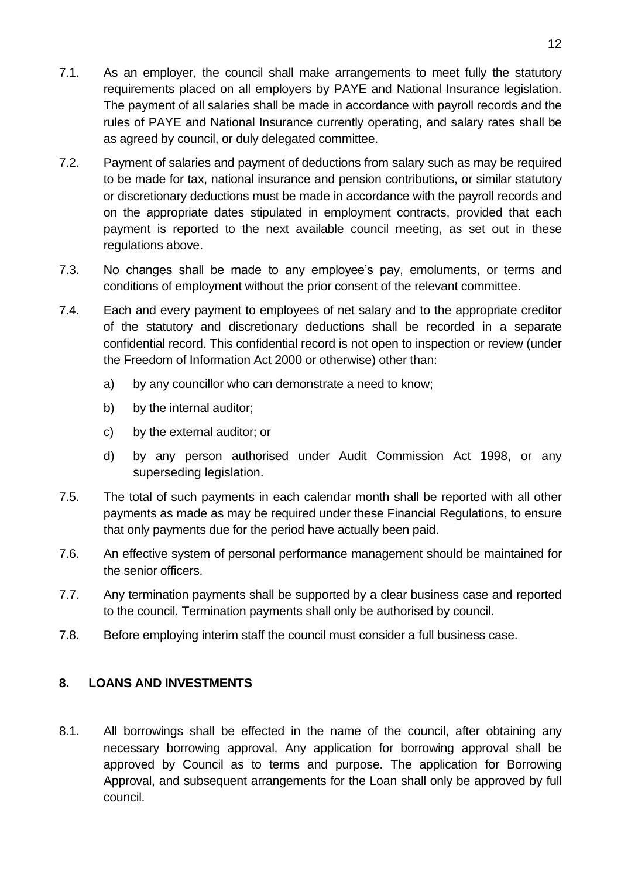- 7.1. As an employer, the council shall make arrangements to meet fully the statutory requirements placed on all employers by PAYE and National Insurance legislation. The payment of all salaries shall be made in accordance with payroll records and the rules of PAYE and National Insurance currently operating, and salary rates shall be as agreed by council, or duly delegated committee.
- 7.2. Payment of salaries and payment of deductions from salary such as may be required to be made for tax, national insurance and pension contributions, or similar statutory or discretionary deductions must be made in accordance with the payroll records and on the appropriate dates stipulated in employment contracts, provided that each payment is reported to the next available council meeting, as set out in these regulations above.
- 7.3. No changes shall be made to any employee's pay, emoluments, or terms and conditions of employment without the prior consent of the relevant committee.
- 7.4. Each and every payment to employees of net salary and to the appropriate creditor of the statutory and discretionary deductions shall be recorded in a separate confidential record. This confidential record is not open to inspection or review (under the Freedom of Information Act 2000 or otherwise) other than:
	- a) by any councillor who can demonstrate a need to know;
	- b) by the internal auditor;
	- c) by the external auditor; or
	- d) by any person authorised under Audit Commission Act 1998, or any superseding legislation.
- 7.5. The total of such payments in each calendar month shall be reported with all other payments as made as may be required under these Financial Regulations, to ensure that only payments due for the period have actually been paid.
- 7.6. An effective system of personal performance management should be maintained for the senior officers.
- 7.7. Any termination payments shall be supported by a clear business case and reported to the council. Termination payments shall only be authorised by council.
- 7.8. Before employing interim staff the council must consider a full business case.

#### <span id="page-11-0"></span>**8. LOANS AND INVESTMENTS**

8.1. All borrowings shall be effected in the name of the council, after obtaining any necessary borrowing approval. Any application for borrowing approval shall be approved by Council as to terms and purpose. The application for Borrowing Approval, and subsequent arrangements for the Loan shall only be approved by full council.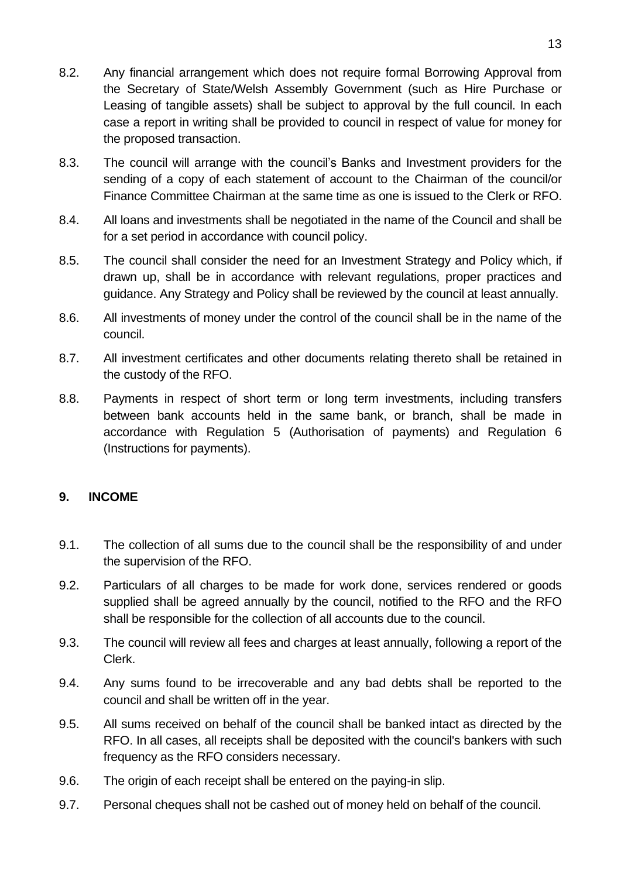- 8.2. Any financial arrangement which does not require formal Borrowing Approval from the Secretary of State/Welsh Assembly Government (such as Hire Purchase or Leasing of tangible assets) shall be subject to approval by the full council. In each case a report in writing shall be provided to council in respect of value for money for the proposed transaction.
- 8.3. The council will arrange with the council's Banks and Investment providers for the sending of a copy of each statement of account to the Chairman of the council/or Finance Committee Chairman at the same time as one is issued to the Clerk or RFO.
- 8.4. All loans and investments shall be negotiated in the name of the Council and shall be for a set period in accordance with council policy.
- 8.5. The council shall consider the need for an Investment Strategy and Policy which, if drawn up, shall be in accordance with relevant regulations, proper practices and guidance. Any Strategy and Policy shall be reviewed by the council at least annually.
- 8.6. All investments of money under the control of the council shall be in the name of the council.
- 8.7. All investment certificates and other documents relating thereto shall be retained in the custody of the RFO.
- 8.8. Payments in respect of short term or long term investments, including transfers between bank accounts held in the same bank, or branch, shall be made in accordance with Regulation 5 (Authorisation of payments) and Regulation 6 (Instructions for payments).

#### <span id="page-12-0"></span>**9. INCOME**

- 9.1. The collection of all sums due to the council shall be the responsibility of and under the supervision of the RFO.
- 9.2. Particulars of all charges to be made for work done, services rendered or goods supplied shall be agreed annually by the council, notified to the RFO and the RFO shall be responsible for the collection of all accounts due to the council.
- 9.3. The council will review all fees and charges at least annually, following a report of the Clerk.
- 9.4. Any sums found to be irrecoverable and any bad debts shall be reported to the council and shall be written off in the year.
- 9.5. All sums received on behalf of the council shall be banked intact as directed by the RFO. In all cases, all receipts shall be deposited with the council's bankers with such frequency as the RFO considers necessary.
- 9.6. The origin of each receipt shall be entered on the paying-in slip.
- 9.7. Personal cheques shall not be cashed out of money held on behalf of the council.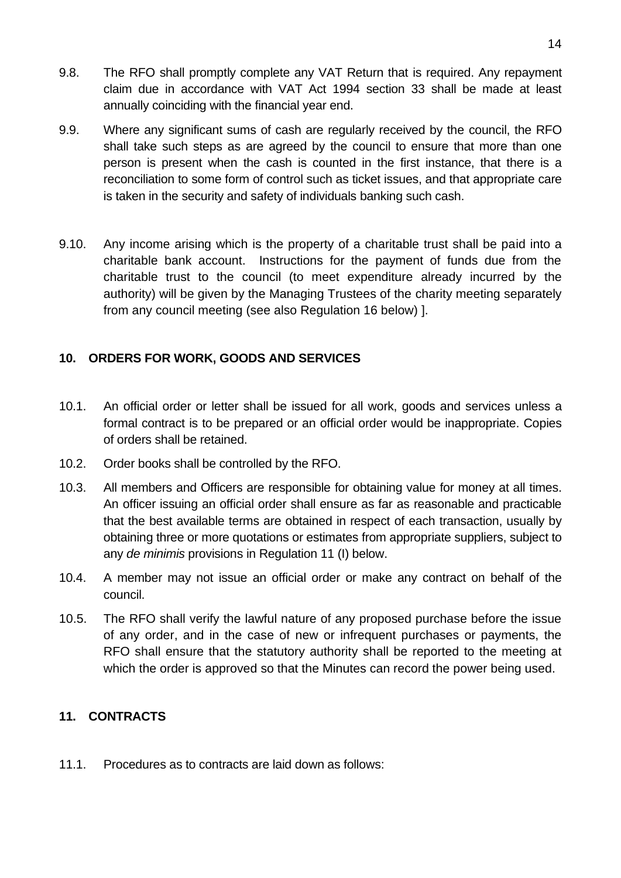- 9.8. The RFO shall promptly complete any VAT Return that is required. Any repayment claim due in accordance with VAT Act 1994 section 33 shall be made at least annually coinciding with the financial year end.
- 9.9. Where any significant sums of cash are regularly received by the council, the RFO shall take such steps as are agreed by the council to ensure that more than one person is present when the cash is counted in the first instance, that there is a reconciliation to some form of control such as ticket issues, and that appropriate care is taken in the security and safety of individuals banking such cash.
- 9.10. Any income arising which is the property of a charitable trust shall be paid into a charitable bank account. Instructions for the payment of funds due from the charitable trust to the council (to meet expenditure already incurred by the authority) will be given by the Managing Trustees of the charity meeting separately from any council meeting (see also Regulation 16 below) ].

### <span id="page-13-0"></span>**10. ORDERS FOR WORK, GOODS AND SERVICES**

- 10.1. An official order or letter shall be issued for all work, goods and services unless a formal contract is to be prepared or an official order would be inappropriate. Copies of orders shall be retained.
- 10.2. Order books shall be controlled by the RFO.
- 10.3. All members and Officers are responsible for obtaining value for money at all times. An officer issuing an official order shall ensure as far as reasonable and practicable that the best available terms are obtained in respect of each transaction, usually by obtaining three or more quotations or estimates from appropriate suppliers, subject to any *de minimis* provisions in Regulation 11 (I) below.
- 10.4. A member may not issue an official order or make any contract on behalf of the council.
- 10.5. The RFO shall verify the lawful nature of any proposed purchase before the issue of any order, and in the case of new or infrequent purchases or payments, the RFO shall ensure that the statutory authority shall be reported to the meeting at which the order is approved so that the Minutes can record the power being used.

#### <span id="page-13-1"></span>**11. CONTRACTS**

11.1. Procedures as to contracts are laid down as follows: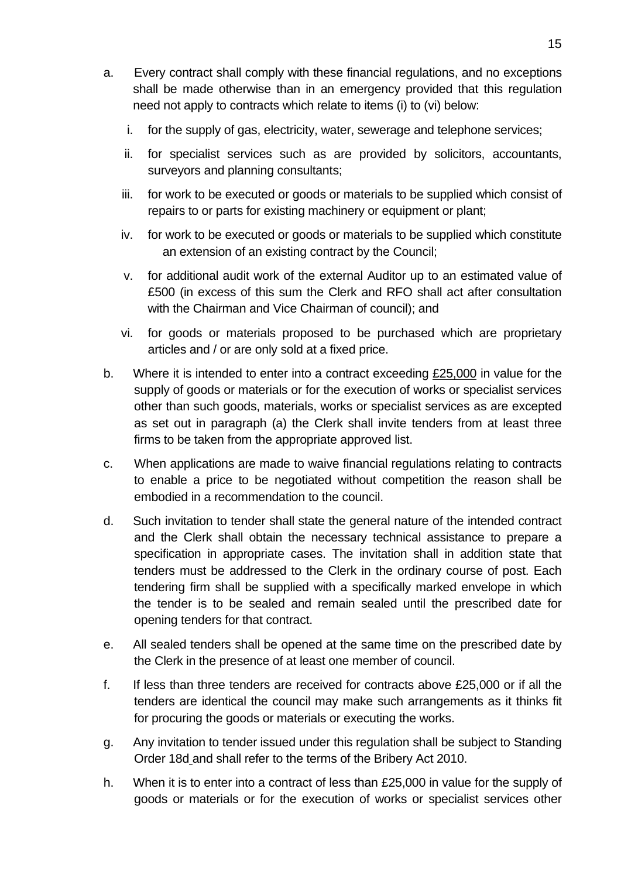- a. Every contract shall comply with these financial regulations, and no exceptions shall be made otherwise than in an emergency provided that this regulation need not apply to contracts which relate to items (i) to (vi) below:
	- i. for the supply of gas, electricity, water, sewerage and telephone services;
	- ii. for specialist services such as are provided by solicitors, accountants, surveyors and planning consultants;
	- iii. for work to be executed or goods or materials to be supplied which consist of repairs to or parts for existing machinery or equipment or plant;
	- iv. for work to be executed or goods or materials to be supplied which constitute an extension of an existing contract by the Council;
	- v. for additional audit work of the external Auditor up to an estimated value of £500 (in excess of this sum the Clerk and RFO shall act after consultation with the Chairman and Vice Chairman of council); and
	- vi. for goods or materials proposed to be purchased which are proprietary articles and / or are only sold at a fixed price.
- b. Where it is intended to enter into a contract exceeding £25,000 in value for the supply of goods or materials or for the execution of works or specialist services other than such goods, materials, works or specialist services as are excepted as set out in paragraph (a) the Clerk shall invite tenders from at least three firms to be taken from the appropriate approved list.
- c. When applications are made to waive financial regulations relating to contracts to enable a price to be negotiated without competition the reason shall be embodied in a recommendation to the council.
- d. Such invitation to tender shall state the general nature of the intended contract and the Clerk shall obtain the necessary technical assistance to prepare a specification in appropriate cases. The invitation shall in addition state that tenders must be addressed to the Clerk in the ordinary course of post. Each tendering firm shall be supplied with a specifically marked envelope in which the tender is to be sealed and remain sealed until the prescribed date for opening tenders for that contract.
- e. All sealed tenders shall be opened at the same time on the prescribed date by the Clerk in the presence of at least one member of council.
- f. If less than three tenders are received for contracts above £25,000 or if all the tenders are identical the council may make such arrangements as it thinks fit for procuring the goods or materials or executing the works.
- g. Any invitation to tender issued under this regulation shall be subject to Standing Order 18d and shall refer to the terms of the Bribery Act 2010.
- h. When it is to enter into a contract of less than £25,000 in value for the supply of goods or materials or for the execution of works or specialist services other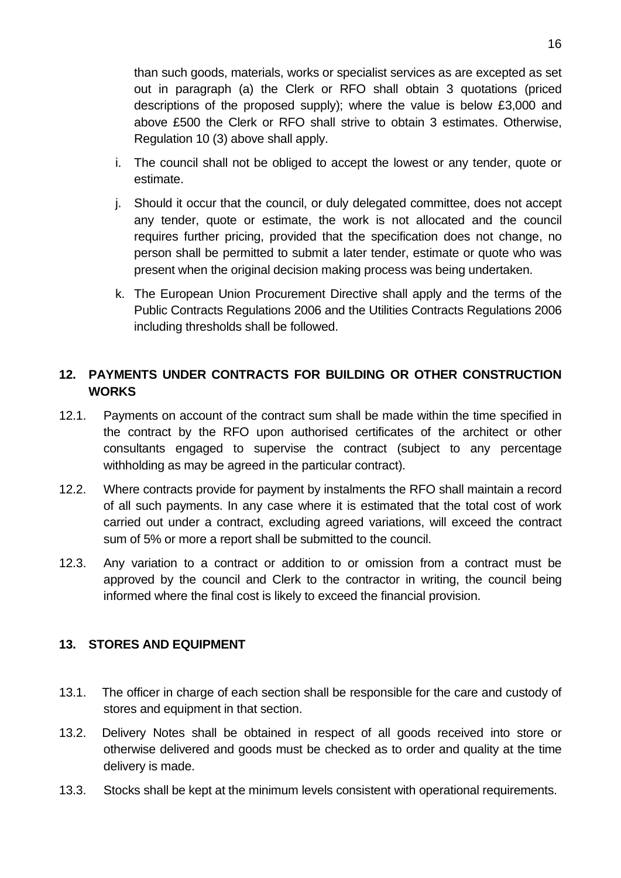than such goods, materials, works or specialist services as are excepted as set out in paragraph (a) the Clerk or RFO shall obtain 3 quotations (priced descriptions of the proposed supply); where the value is below £3,000 and above £500 the Clerk or RFO shall strive to obtain 3 estimates. Otherwise, Regulation 10 (3) above shall apply.

- i. The council shall not be obliged to accept the lowest or any tender, quote or estimate.
- j. Should it occur that the council, or duly delegated committee, does not accept any tender, quote or estimate, the work is not allocated and the council requires further pricing, provided that the specification does not change, no person shall be permitted to submit a later tender, estimate or quote who was present when the original decision making process was being undertaken.
- k. The European Union Procurement Directive shall apply and the terms of the Public Contracts Regulations 2006 and the Utilities Contracts Regulations 2006 including thresholds shall be followed.

### <span id="page-15-0"></span>**12. PAYMENTS UNDER CONTRACTS FOR BUILDING OR OTHER CONSTRUCTION WORKS**

- 12.1. Payments on account of the contract sum shall be made within the time specified in the contract by the RFO upon authorised certificates of the architect or other consultants engaged to supervise the contract (subject to any percentage withholding as may be agreed in the particular contract).
- 12.2. Where contracts provide for payment by instalments the RFO shall maintain a record of all such payments. In any case where it is estimated that the total cost of work carried out under a contract, excluding agreed variations, will exceed the contract sum of 5% or more a report shall be submitted to the council.
- 12.3. Any variation to a contract or addition to or omission from a contract must be approved by the council and Clerk to the contractor in writing, the council being informed where the final cost is likely to exceed the financial provision.

#### <span id="page-15-1"></span>**13. STORES AND EQUIPMENT**

- 13.1. The officer in charge of each section shall be responsible for the care and custody of stores and equipment in that section.
- 13.2. Delivery Notes shall be obtained in respect of all goods received into store or otherwise delivered and goods must be checked as to order and quality at the time delivery is made.
- 13.3. Stocks shall be kept at the minimum levels consistent with operational requirements.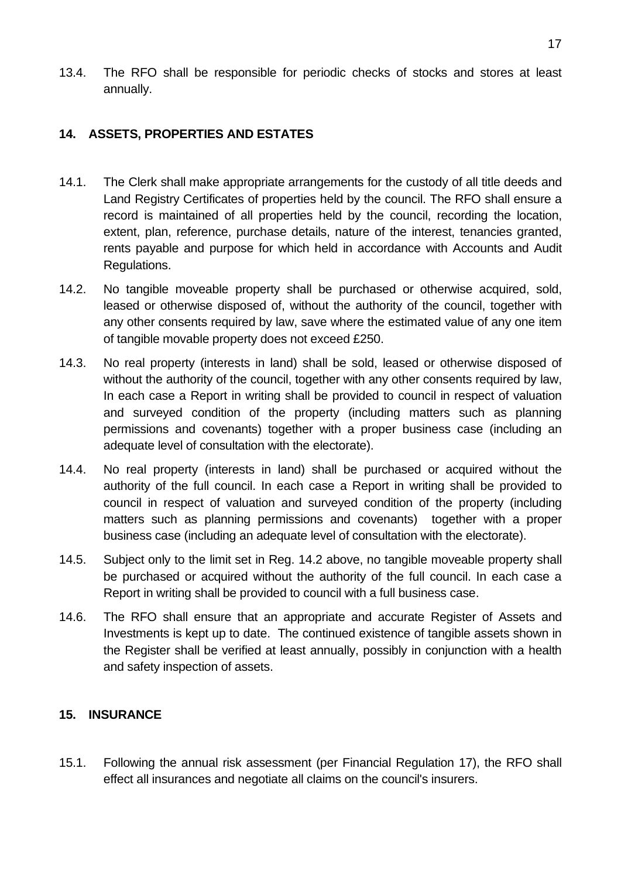13.4. The RFO shall be responsible for periodic checks of stocks and stores at least annually.

#### <span id="page-16-0"></span>**14. ASSETS, PROPERTIES AND ESTATES**

- 14.1. The Clerk shall make appropriate arrangements for the custody of all title deeds and Land Registry Certificates of properties held by the council. The RFO shall ensure a record is maintained of all properties held by the council, recording the location, extent, plan, reference, purchase details, nature of the interest, tenancies granted, rents payable and purpose for which held in accordance with Accounts and Audit Regulations.
- 14.2. No tangible moveable property shall be purchased or otherwise acquired, sold, leased or otherwise disposed of, without the authority of the council, together with any other consents required by law, save where the estimated value of any one item of tangible movable property does not exceed £250.
- 14.3. No real property (interests in land) shall be sold, leased or otherwise disposed of without the authority of the council, together with any other consents required by law, In each case a Report in writing shall be provided to council in respect of valuation and surveyed condition of the property (including matters such as planning permissions and covenants) together with a proper business case (including an adequate level of consultation with the electorate).
- 14.4. No real property (interests in land) shall be purchased or acquired without the authority of the full council. In each case a Report in writing shall be provided to council in respect of valuation and surveyed condition of the property (including matters such as planning permissions and covenants) together with a proper business case (including an adequate level of consultation with the electorate).
- 14.5. Subject only to the limit set in Reg. 14.2 above, no tangible moveable property shall be purchased or acquired without the authority of the full council. In each case a Report in writing shall be provided to council with a full business case.
- 14.6. The RFO shall ensure that an appropriate and accurate Register of Assets and Investments is kept up to date. The continued existence of tangible assets shown in the Register shall be verified at least annually, possibly in conjunction with a health and safety inspection of assets.

#### <span id="page-16-1"></span>**15. INSURANCE**

15.1. Following the annual risk assessment (per Financial Regulation 17), the RFO shall effect all insurances and negotiate all claims on the council's insurers.